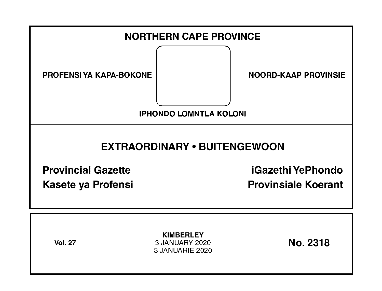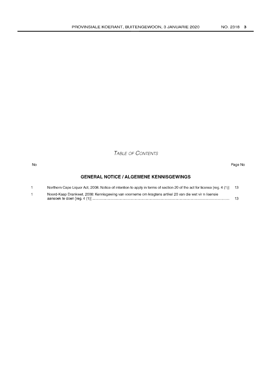TABLE OF CONTENTS

#### No Page No

# **GENERAL NOTICE I ALGEMENE KENNISGEWINGS**

| Northern Cape Liquor Act, 2008: Notice of intention to apply in terms of section 20 of the act for license [reg. 4 (1)] 13 |  |
|----------------------------------------------------------------------------------------------------------------------------|--|
| Noord-Kaap Drankwet, 2008: Kennisgewing van voorneme om kragtens artikel 20 van die wet vir n lisensie                     |  |
|                                                                                                                            |  |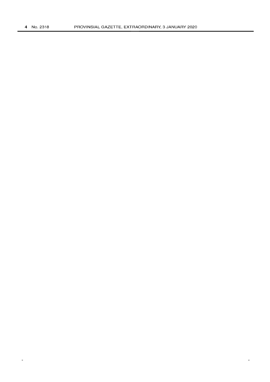$\overline{\phantom{a}}$ 

 $\overline{\phantom{a}}$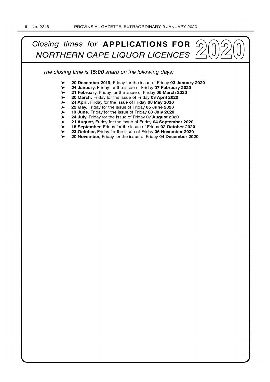# **Closing times for APPLICATIONS FOR NORTHERN CAPE LIQUOR LICENCES**

The closing time is **15:00** sharp on the following days:

- ~ **20 December 2019,** Friday for the issue of Friday **03 January 2020**
- ~ **24 January,** Friday for the issue of Friday **07 February 2020**
- ~ **21 February,** Friday for the issue of Friday **06 March 2020**
- ~ **20 March,** Friday for the issue of Friday **03 April 2020**
- ~ **24 April,** Friday for the issue of Friday **08 May 2020**
- ~ **22 May,** Friday for the issue of Friday **05 June 2020**
- ~ **19 June,** Friday for the issue of Friday **03 July 2020**
- ~ **24 July,** Friday for the issue of Friday **07 August 2020**
- ~ **21 August,** Friday for the issue of Friday **04 September 2020**
- ~ **18 September,** Friday for the issue of Friday **02 October 2020**
- ~ **23 October,** Friday for the issue of Friday **06 November 2020**
- ~ **20 November,** Friday for the issue of Friday **04 December 2020**